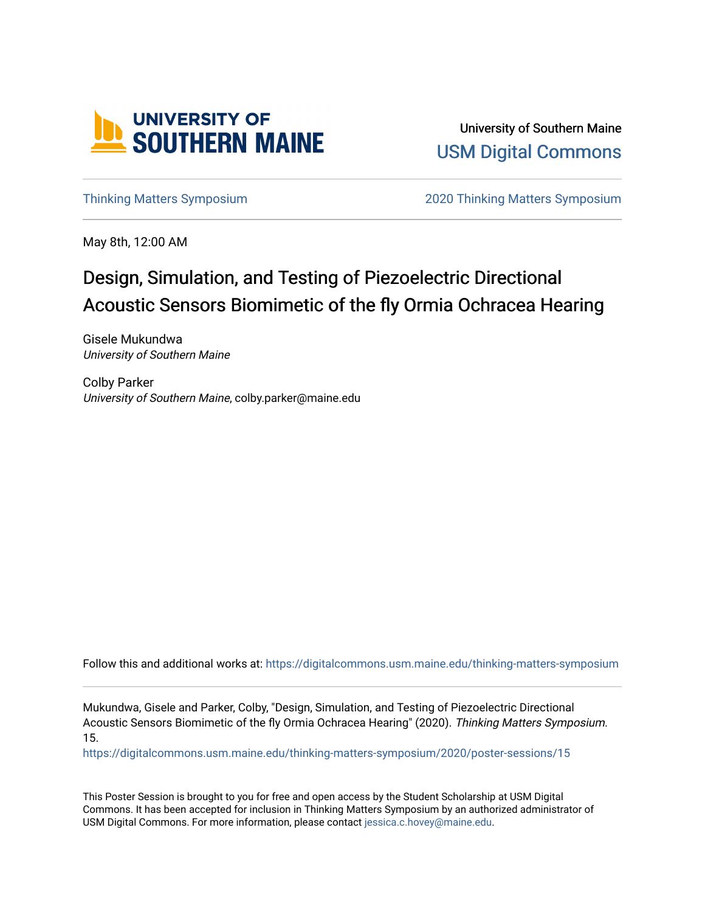

University of Southern Maine [USM Digital Commons](https://digitalcommons.usm.maine.edu/) 

[Thinking Matters Symposium](https://digitalcommons.usm.maine.edu/thinking-matters-symposium) [2020 Thinking Matters Symposium](https://digitalcommons.usm.maine.edu/thinking-matters-symposium/2020) 

May 8th, 12:00 AM

### Design, Simulation, and Testing of Piezoelectric Directional Acoustic Sensors Biomimetic of the fly Ormia Ochracea Hearing

Gisele Mukundwa University of Southern Maine

Colby Parker University of Southern Maine, colby.parker@maine.edu

Follow this and additional works at: [https://digitalcommons.usm.maine.edu/thinking-matters-symposium](https://digitalcommons.usm.maine.edu/thinking-matters-symposium?utm_source=digitalcommons.usm.maine.edu%2Fthinking-matters-symposium%2F2020%2Fposter-sessions%2F15&utm_medium=PDF&utm_campaign=PDFCoverPages) 

Mukundwa, Gisele and Parker, Colby, "Design, Simulation, and Testing of Piezoelectric Directional Acoustic Sensors Biomimetic of the fly Ormia Ochracea Hearing" (2020). Thinking Matters Symposium. 15.

[https://digitalcommons.usm.maine.edu/thinking-matters-symposium/2020/poster-sessions/15](https://digitalcommons.usm.maine.edu/thinking-matters-symposium/2020/poster-sessions/15?utm_source=digitalcommons.usm.maine.edu%2Fthinking-matters-symposium%2F2020%2Fposter-sessions%2F15&utm_medium=PDF&utm_campaign=PDFCoverPages) 

This Poster Session is brought to you for free and open access by the Student Scholarship at USM Digital Commons. It has been accepted for inclusion in Thinking Matters Symposium by an authorized administrator of USM Digital Commons. For more information, please contact [jessica.c.hovey@maine.edu](mailto:ian.fowler@maine.edu).